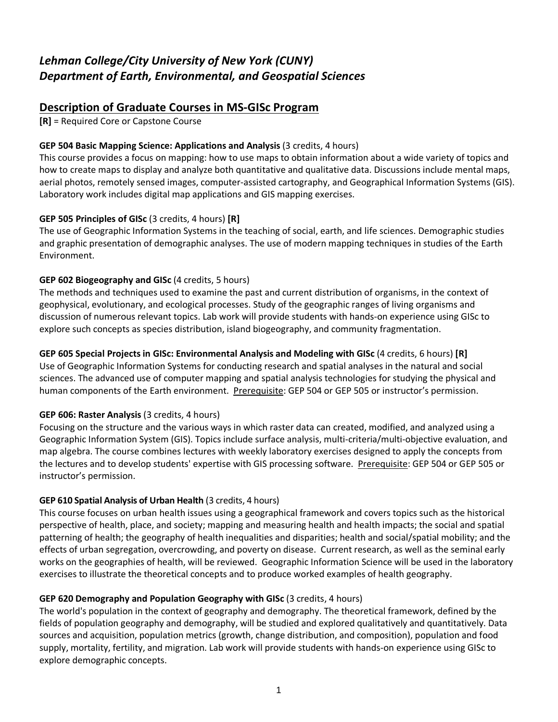# *Lehman College/City University of New York (CUNY) Department of Earth, Environmental, and Geospatial Sciences*

# **Description of Graduate Courses in MS-GISc Program**

**[R]** = Required Core or Capstone Course

# **GEP 504 Basic Mapping Science: Applications and Analysis** (3 credits, 4 hours)

This course provides a focus on mapping: how to use maps to obtain information about a wide variety of topics and how to create maps to display and analyze both quantitative and qualitative data. Discussions include mental maps, aerial photos, remotely sensed images, computer-assisted cartography, and Geographical Information Systems (GIS). Laboratory work includes digital map applications and GIS mapping exercises.

# **GEP 505 Principles of GISc** (3 credits, 4 hours) **[R]**

The use of Geographic Information Systems in the teaching of social, earth, and life sciences. Demographic studies and graphic presentation of demographic analyses. The use of modern mapping techniques in studies of the Earth Environment.

# **GEP 602 Biogeography and GISc** (4 credits, 5 hours)

The methods and techniques used to examine the past and current distribution of organisms, in the context of geophysical, evolutionary, and ecological processes. Study of the geographic ranges of living organisms and discussion of numerous relevant topics. Lab work will provide students with hands-on experience using GISc to explore such concepts as species distribution, island biogeography, and community fragmentation.

# **GEP 605 Special Projects in GISc: Environmental Analysis and Modeling with GISc** (4 credits, 6 hours) **[R]**

Use of Geographic Information Systems for conducting research and spatial analyses in the natural and social sciences. The advanced use of computer mapping and spatial analysis technologies for studying the physical and human components of the Earth environment. Prerequisite: GEP 504 or GEP 505 or instructor's permission.

# **GEP 606: Raster Analysis** (3 credits, 4 hours)

Focusing on the structure and the various ways in which raster data can created, modified, and analyzed using a Geographic Information System (GIS). Topics include surface analysis, multi-criteria/multi-objective evaluation, and map algebra. The course combines lectures with weekly laboratory exercises designed to apply the concepts from the lectures and to develop students' expertise with GIS processing software. Prerequisite: GEP 504 or GEP 505 or instructor's permission.

# **GEP 610 Spatial Analysis of Urban Health** (3 credits, 4 hours)

This course focuses on urban health issues using a geographical framework and covers topics such as the historical perspective of health, place, and society; mapping and measuring health and health impacts; the social and spatial patterning of health; the geography of health inequalities and disparities; health and social/spatial mobility; and the effects of urban segregation, overcrowding, and poverty on disease. Current research, as well as the seminal early works on the geographies of health, will be reviewed. Geographic Information Science will be used in the laboratory exercises to illustrate the theoretical concepts and to produce worked examples of health geography.

# **GEP 620 Demography and Population Geography with GISc** (3 credits, 4 hours)

The world's population in the context of geography and demography. The theoretical framework, defined by the fields of population geography and demography, will be studied and explored qualitatively and quantitatively. Data sources and acquisition, population metrics (growth, change distribution, and composition), population and food supply, mortality, fertility, and migration. Lab work will provide students with hands-on experience using GISc to explore demographic concepts.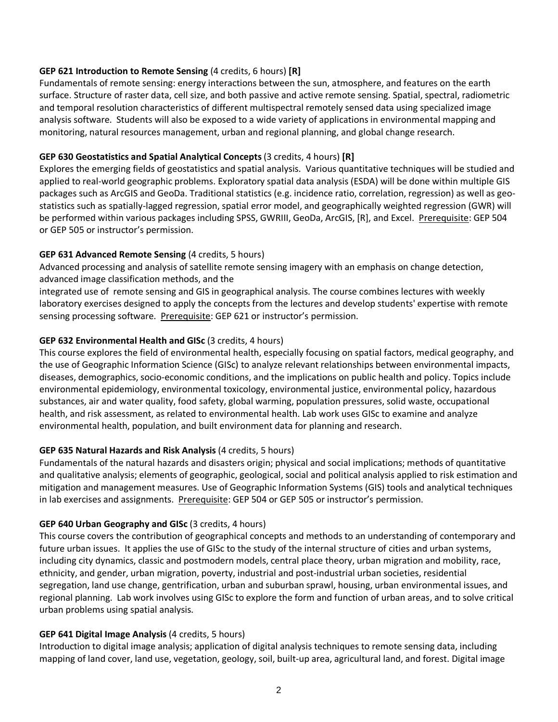### **GEP 621 Introduction to Remote Sensing** (4 credits, 6 hours) **[R]**

Fundamentals of remote sensing: energy interactions between the sun, atmosphere, and features on the earth surface. Structure of raster data, cell size, and both passive and active remote sensing. Spatial, spectral, radiometric and temporal resolution characteristics of different multispectral remotely sensed data using specialized image analysis software. Students will also be exposed to a wide variety of applications in environmental mapping and monitoring, natural resources management, urban and regional planning, and global change research.

### **GEP 630 Geostatistics and Spatial Analytical Concepts** (3 credits, 4 hours) **[R]**

Explores the emerging fields of geostatistics and spatial analysis. Various quantitative techniques will be studied and applied to real-world geographic problems. Exploratory spatial data analysis (ESDA) will be done within multiple GIS packages such as ArcGIS and GeoDa. Traditional statistics (e.g. incidence ratio, correlation, regression) as well as geostatistics such as spatially-lagged regression, spatial error model, and geographically weighted regression (GWR) will be performed within various packages including SPSS, GWRIII, GeoDa, ArcGIS, [R], and Excel. Prerequisite: GEP 504 or GEP 505 or instructor's permission.

### **GEP 631 Advanced Remote Sensing** (4 credits, 5 hours)

Advanced processing and analysis of satellite remote sensing imagery with an emphasis on change detection, advanced image classification methods, and the

integrated use of remote sensing and GIS in geographical analysis. The course combines lectures with weekly laboratory exercises designed to apply the concepts from the lectures and develop students' expertise with remote sensing processing software. Prerequisite: GEP 621 or instructor's permission.

### **GEP 632 Environmental Health and GISc** (3 credits, 4 hours)

This course explores the field of environmental health, especially focusing on spatial factors, medical geography, and the use of Geographic Information Science (GISc) to analyze relevant relationships between environmental impacts, diseases, demographics, socio-economic conditions, and the implications on public health and policy. Topics include environmental epidemiology, environmental toxicology, environmental justice, environmental policy, hazardous substances, air and water quality, food safety, global warming, population pressures, solid waste, occupational health, and risk assessment, as related to environmental health. Lab work uses GISc to examine and analyze environmental health, population, and built environment data for planning and research.

# **GEP 635 Natural Hazards and Risk Analysis** (4 credits, 5 hours)

Fundamentals of the natural hazards and disasters origin; physical and social implications; methods of quantitative and qualitative analysis; elements of geographic, geological, social and political analysis applied to risk estimation and mitigation and management measures. Use of Geographic Information Systems (GIS) tools and analytical techniques in lab exercises and assignments. Prerequisite: GEP 504 or GEP 505 or instructor's permission.

#### **GEP 640 Urban Geography and GISc** (3 credits, 4 hours)

This course covers the contribution of geographical concepts and methods to an understanding of contemporary and future urban issues. It applies the use of GISc to the study of the internal structure of cities and urban systems, including city dynamics, classic and postmodern models, central place theory, urban migration and mobility, race, ethnicity, and gender, urban migration, poverty, industrial and post-industrial urban societies, residential segregation, land use change, gentrification, urban and suburban sprawl, housing, urban environmental issues, and regional planning. Lab work involves using GISc to explore the form and function of urban areas, and to solve critical urban problems using spatial analysis.

#### **GEP 641 Digital Image Analysis** (4 credits, 5 hours)

Introduction to digital image analysis; application of digital analysis techniques to remote sensing data, including mapping of land cover, land use, vegetation, geology, soil, built-up area, agricultural land, and forest. Digital image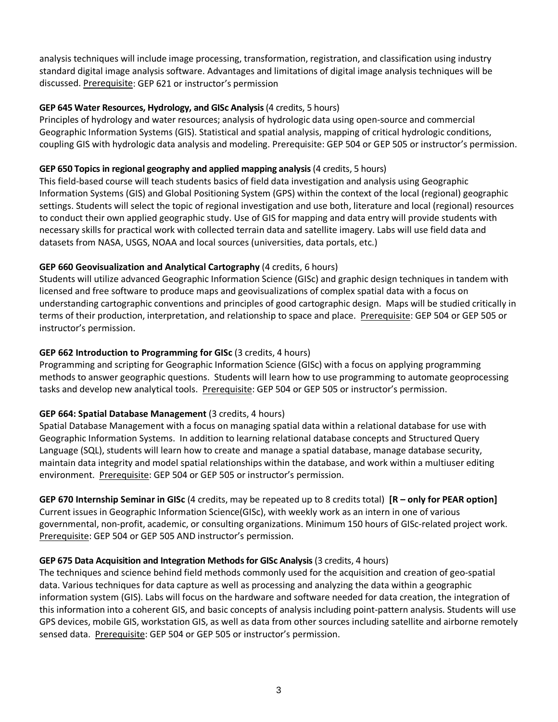analysis techniques will include image processing, transformation, registration, and classification using industry standard digital image analysis software. Advantages and limitations of digital image analysis techniques will be discussed. Prerequisite: GEP 621 or instructor's permission

# **GEP 645 Water Resources, Hydrology, and GISc Analysis** (4 credits, 5 hours)

Principles of hydrology and water resources; analysis of hydrologic data using open-source and commercial Geographic Information Systems (GIS). Statistical and spatial analysis, mapping of critical hydrologic conditions, coupling GIS with hydrologic data analysis and modeling. Prerequisite: GEP 504 or GEP 505 or instructor's permission.

### **GEP 650 Topics in regional geography and applied mapping analysis** (4 credits, 5 hours)

This field-based course will teach students basics of field data investigation and analysis using Geographic Information Systems (GIS) and Global Positioning System (GPS) within the context of the local (regional) geographic settings. Students will select the topic of regional investigation and use both, literature and local (regional) resources to conduct their own applied geographic study. Use of GIS for mapping and data entry will provide students with necessary skills for practical work with collected terrain data and satellite imagery. Labs will use field data and datasets from NASA, USGS, NOAA and local sources (universities, data portals, etc.)

# **GEP 660 Geovisualization and Analytical Cartography** (4 credits, 6 hours)

Students will utilize advanced Geographic Information Science (GISc) and graphic design techniques in tandem with licensed and free software to produce maps and geovisualizations of complex spatial data with a focus on understanding cartographic conventions and principles of good cartographic design. Maps will be studied critically in terms of their production, interpretation, and relationship to space and place. Prerequisite: GEP 504 or GEP 505 or instructor's permission.

# **GEP 662 Introduction to Programming for GISc** (3 credits, 4 hours)

Programming and scripting for Geographic Information Science (GISc) with a focus on applying programming methods to answer geographic questions. Students will learn how to use programming to automate geoprocessing tasks and develop new analytical tools. Prerequisite: GEP 504 or GEP 505 or instructor's permission.

# **GEP 664: Spatial Database Management** (3 credits, 4 hours)

Spatial Database Management with a focus on managing spatial data within a relational database for use with Geographic Information Systems. In addition to learning relational database concepts and Structured Query Language (SQL), students will learn how to create and manage a spatial database, manage database security, maintain data integrity and model spatial relationships within the database, and work within a multiuser editing environment. Prerequisite: GEP 504 or GEP 505 or instructor's permission.

**GEP 670 Internship Seminar in GISc** (4 credits, may be repeated up to 8 credits total) **[R – only for PEAR option]** Current issues in Geographic Information Science(GISc), with weekly work as an intern in one of various governmental, non-profit, academic, or consulting organizations. Minimum 150 hours of GISc-related project work. Prerequisite: GEP 504 or GEP 505 AND instructor's permission.

#### **GEP 675 Data Acquisition and Integration Methods for GISc Analysis** (3 credits, 4 hours)

The techniques and science behind field methods commonly used for the acquisition and creation of geo-spatial data. Various techniques for data capture as well as processing and analyzing the data within a geographic information system (GIS). Labs will focus on the hardware and software needed for data creation, the integration of this information into a coherent GIS, and basic concepts of analysis including point-pattern analysis. Students will use GPS devices, mobile GIS, workstation GIS, as well as data from other sources including satellite and airborne remotely sensed data. Prerequisite: GEP 504 or GEP 505 or instructor's permission.